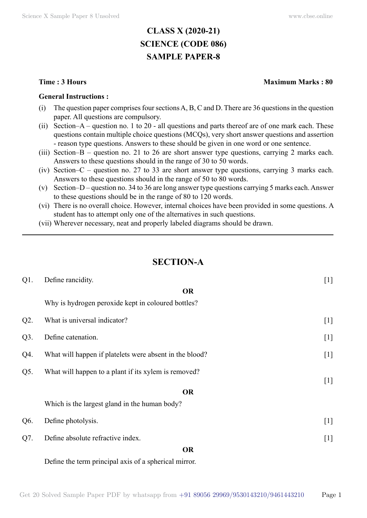# **CLASS X (2020-21) SCIENCE (CODE 086) SAMPLE PAPER-8**

#### **General Instructions :**

- (i) The question paper comprises four sections A, B, C and D. There are 36 questions in the question paper. All questions are compulsory.
- (ii) Section–A question no. 1 to 20 all questions and parts thereof are of one mark each. These questions contain multiple choice questions (MCQs), very short answer questions and assertion - reason type questions. Answers to these should be given in one word or one sentence.
- (iii) Section–B question no. 21 to 26 are short answer type questions, carrying 2 marks each. Answers to these questions should in the range of 30 to 50 words.
- (iv) Section–C question no. 27 to 33 are short answer type questions, carrying 3 marks each. Answers to these questions should in the range of 50 to 80 words.
- (v) Section–D question no. 34 to 36 are long answer type questions carrying 5 marks each. Answer to these questions should be in the range of 80 to 120 words.
- (vi) There is no overall choice. However, internal choices have been provided in some questions. A student has to attempt only one of the alternatives in such questions.
- (vii) Wherever necessary, neat and properly labeled diagrams should be drawn.

## **Section-A**

| $Q1$ . | Define rancidity.                                       | $[1]$ |
|--------|---------------------------------------------------------|-------|
|        | <b>OR</b>                                               |       |
|        | Why is hydrogen peroxide kept in coloured bottles?      |       |
| $Q2$ . | What is universal indicator?                            | $[1]$ |
| $Q3$ . | Define catenation.                                      | $[1]$ |
| Q4.    | What will happen if platelets were absent in the blood? | $[1]$ |
| Q5.    | What will happen to a plant if its xylem is removed?    |       |
|        | <b>OR</b>                                               | $[1]$ |
|        | Which is the largest gland in the human body?           |       |
| Q6.    | Define photolysis.                                      | $[1]$ |
| Q7.    | Define absolute refractive index.                       | $[1]$ |
|        | <b>OR</b>                                               |       |
|        | Define the term principal axis of a spherical mirror.   |       |

Get 20 Solved Sample Paper PDF by whatsapp from  $+91\,89056\,29969/9530143210/9461443210$  Page 1

#### **Time : 3 Hours Maximum Marks : 80**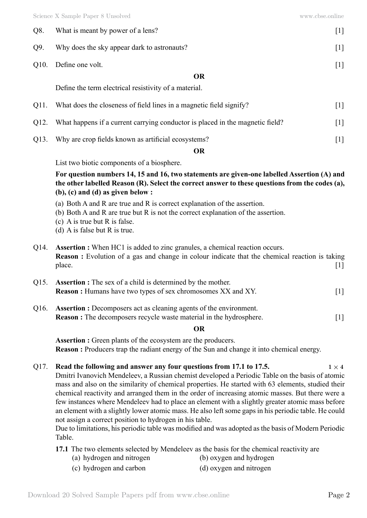| Q8.                                                   | What is meant by power of a lens?           | 1                       |
|-------------------------------------------------------|---------------------------------------------|-------------------------|
| Q9.                                                   | Why does the sky appear dark to astronauts? |                         |
| Q10.                                                  | Define one volt.                            | $\lfloor \cdot \rfloor$ |
|                                                       | <b>OR</b>                                   |                         |
| Define the term electrical resistivity of a material. |                                             |                         |
|                                                       |                                             |                         |

| Q12. What happens if a current carrying conductor is placed in the magnetic field? |  |
|------------------------------------------------------------------------------------|--|

 $Q11.$  What does the closeness of field lines in a magnetic field signify?

Q13. Why are crop fields known as artificial ecosystems? [1]

 **O**

List two biotic components of a biosphere.

**For question numbers 14, 15 and 16, two statements are given-one labelled Assertion (A) and the other labelled Reason (R). Select the correct answer to these questions from the codes (a), (b), (c) and (d) as given below :**

- (a) Both A and R are true and R is correct explanation of the assertion.
- (b) Both A and R are true but R is not the correct explanation of the assertion.
- (c) A is true but R is false.
- (d) A is false but R is true.
- Q14. **Assertion :** When HC1 is added to zinc granules, a chemical reaction occurs. **Reason :** Evolution of a gas and change in colour indicate that the chemical reaction is taking place. [1]
- Q15. **Assertion :** The sex of a child is determined by the mother. **Reason :** Humans have two types of sex chromosomes XX and XY. [1]
- Q16. **Assertion :** Decomposers act as cleaning agents of the environment. **Reason :** The decomposers recycle waste material in the hydrosphere. [1]

### **O**

**Assertion :** Green plants of the ecosystem are the producers. **Reason :** Producers trap the radiant energy of the Sun and change it into chemical energy.

## Q17. **Read the following and answer any four questions from 17.1 to 17.5.**  $1 \times 4$

Dmitri Ivanovich Mendeleev, a Russian chemist developed a Periodic Table on the basis of atomic mass and also on the similarity of chemical properties. He started with 63 elements, studied their chemical reactivity and arranged them in the order of increasing atomic masses. But there were a few instances where Mendeleev had to place an element with a slightly greater atomic mass before an element with a slightly lower atomic mass. He also left some gaps in his periodic table. He could not assign a correct position to hydrogen in his table.

Due to limitations, his periodic table was modified and was adopted as the basis of Modern Periodic Table.

**17.1** The two elements selected by Mendeleev as the basis for the chemical reactivity are

- (a) hydrogen and nitrogen (b) oxygen and hydrogen
- (c) hydrogen and carbon (d) oxygen and nitrogen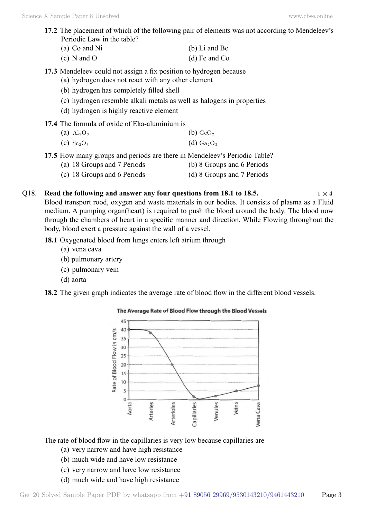- **17.2** The placement of which of the following pair of elements was not according to Mendeleev's Periodic Law in the table?
	- (a) Co and Ni (b) Li and Be (c) N and O (d) Fe and Co
- **17.3** Mendeleev could not assign a fix position to hydrogen because
	- (a) hydrogen does not react with any other element
	- (b) hydrogen has completely filled shell
	- (c) hydrogen resemble alkali metals as well as halogens in properties
	- (d) hydrogen is highly reactive element
- **17.4** The formula of oxide of Eka-aluminium is
	- (a)  $\text{Al}_2\text{O}_3$  (b)  $\text{GeO}_2$
	- (c)  $Sc_2O_3$  (d)  $Ga_2O_3$
- **17.5** How many groups and periods are there in Mendeleev's Periodic Table?
	- (a) 18 Groups and 7 Periods (b) 8 Groups and 6 Periods
	- (c) 18 Groups and 6 Periods (d) 8 Groups and 7 Periods

## Q18. **Read the following and answer any four questions from 18.1 to 18.5.**  $1 \times 4$

Blood transport rood, oxygen and waste materials in our bodies. It consists of plasma as a Fluid medium. A pumping organ(heart) is required to push the blood around the body. The blood now through the chambers of heart in a specific manner and direction. While Flowing throughout the body, blood exert a pressure against the wall of a vessel.

**18.1** Oxygenated blood from lungs enters left atrium through

- (a) vena cava
- (b) pulmonary artery
- (c) pulmonary vein
- (d) aorta
- **18.2** The given graph indicates the average rate of blood flow in the different blood vessels.



### The Average Rate of Blood Flow through the Blood Vessels

The rate of blood flow in the capillaries is very low because capillaries are

- (a) very narrow and have high resistance
- (b) much wide and have low resistance
- (c) very narrow and have low resistance
- (d) much wide and have high resistance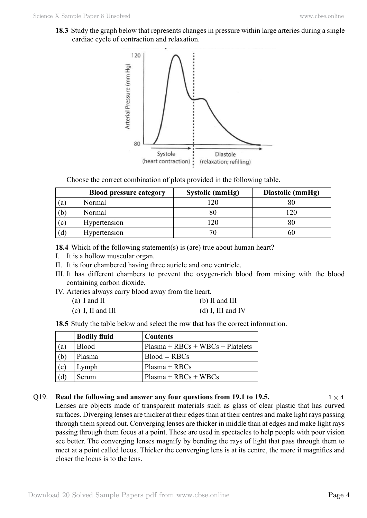**18.3** Study the graph below that represents changes in pressure within large arteries during a single cardiac cycle of contraction and relaxation.



Choose the correct combination of plots provided in the following table.

|     | <b>Blood pressure category</b> | Systolic (mmHg) | Diastolic (mmHg) |
|-----|--------------------------------|-----------------|------------------|
| (a) | Normal                         | חרו             | 80               |
| (b) | Normal                         |                 | 120              |
| (c) | Hypertension                   | 20              | $80\,$           |
| (d) | Hypertension                   |                 | 60               |

**18.4** Which of the following statement(s) is (are) true about human heart?

- I. It is a hollow muscular organ.
- II. It is four chambered having three auricle and one ventricle.
- III. It has different chambers to prevent the oxygen-rich blood from mixing with the blood containing carbon dioxide.
- IV. Arteries always carry blood away from the heart.
	- (a) I and II (b) II and III
	- (c) I, II and III (d) I, III and IV

**18.5** Study the table below and select the row that has the correct information.

|     | <b>Bodily fluid</b> | <b>Contents</b>                    |
|-----|---------------------|------------------------------------|
| (a) | <b>Blood</b>        | $Plasma + RBCs + WBCs + Platelets$ |
| (b) | Plasma              | $Blood - RBCs$                     |
| (c) | Lymph               | $Plasma + RBCs$                    |
| 'd) | Serum               | $Plasma + RBCs + WBCs$             |

#### Q19. **Read the following and answer any four questions from 19.1 to 19.5.**  $1 \times 4$

Lenses are objects made of transparent materials such as glass of clear plastic that has curved surfaces. Diverging lenses are thicker at their edges than at their centres and make light rays passing through them spread out. Converging lenses are thicker in middle than at edges and make light rays passing through them focus at a point. These are used in spectacles to help people with poor vision see better. The converging lenses magnify by bending the rays of light that pass through them to meet at a point called locus. Thicker the converging lens is at its centre, the more it magnifies and closer the locus is to the lens.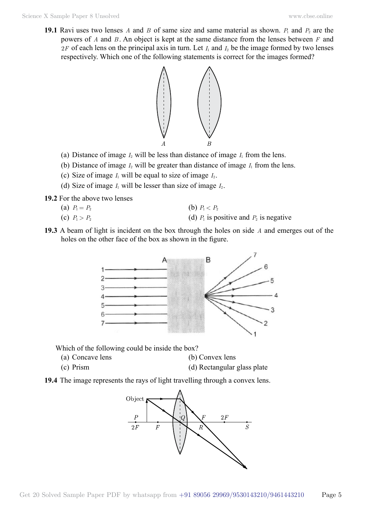**19.1** Ravi uses two lenses *A* and *B* of same size and same material as shown.  $P_1$  and  $P_2$  are the powers of *A* and *B* . An object is kept at the same distance from the lenses between *F* and  $2F$  of each lens on the principal axis in turn. Let  $I_1$  and  $I_2$  be the image formed by two lenses respectively. Which one of the following statements is correct for the images formed?



- (a) Distance of image  $I_2$  will be less than distance of image  $I_1$  from the lens.
- (b) Distance of image  $I_2$  will be greater than distance of image  $I_1$  from the lens.
- (c) Size of image  $I_1$  will be equal to size of image  $I_2$ .
- (d) Size of image  $I_1$  will be lesser than size of image  $I_2$ .
- **19.2** For the above two lenses
	- (a)  $P_1 = P_2$  (b)  $P_1 < P_2$
	- (c)  $P_1 > P_2$  (d)  $P_1$  is positive and  $P_2$  is negative
- **19.3** A beam of light is incident on the box through the holes on side *A* and emerges out of the holes on the other face of the box as shown in the figure.



Which of the following could be inside the box?

- (a) Concave lens (b) Convex lens
- (c) Prism (d) Rectangular glass plate



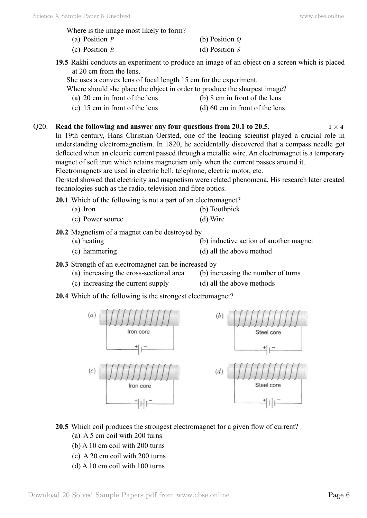Where is the image most likely to form?

| (a) Position $P$ | (b) Position $Q$ |
|------------------|------------------|
| (c) Position $R$ | (d) Position $S$ |

- **19.5** Rakhi conducts an experiment to produce an image of an object on a screen which is placed at 20 cm from the lens.
	- She uses a convex lens of focal length 15 cm for the experiment.

Where should she place the object in order to produce the sharpest image?

- (a) 20 cm in front of the lens (b) 8 cm in front of the lens
	-
- (c) 15 cm in front of the lens (d) 60 cm in front of the lens
- Q20. **Read the following and answer any four questions from 20.1 to 20.5.**  $1 \times 4$

In 19th century, Hans Christian Oersted, one of the leading scientist played a crucial role in understanding electromagnetism. In 1820, he accidentally discovered that a compass needle got deflected when an electric current passed through a metallic wire. An electromagnet is a temporary magnet of soft iron which retains magnetism only when the current passes around it. Electromagnets are used in electric bell, telephone, electric motor, etc.

Oersted showed that electricity and magnetism were related phenomena. His research later created technologies such as the radio, television and fibre optics.

**20.1** Which of the following is not a part of an electromagnet?

- (a) Iron (b) Toothpick
- (c) Power source (d) Wire
- **20.2** Magnetism of a magnet can be destroyed by
	- (a) heating (b) inductive action of another magnet
	- (c) hammering (d) all the above method

**20.3** Strength of an electromagnet can be increased by

- (a) increasing the cross-sectional area (b) increasing the number of turns
- (c) increasing the current supply (d) all the above methods
- **20.4** Which of the following is the strongest electromagnet?



**20.5** Which coil produces the strongest electromagnet for a given flow of current?

- (a) A 5 cm coil with 200 turns
- (b) A 10 cm coil with 200 turns
- (c) A 20 cm coil with 200 turns
- (d) A 10 cm coil with 100 turns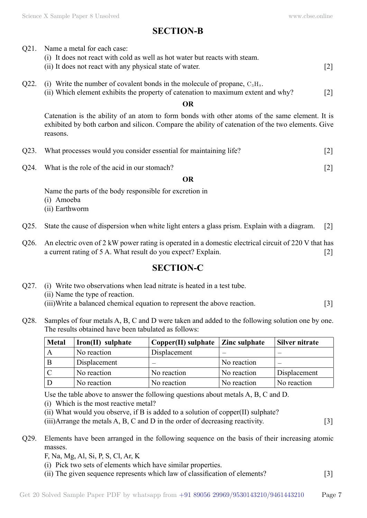# **SECTION-B**

- Q21. Name a metal for each case:
	- (i) It does not react with cold as well as hot water but reacts with steam.
	- (ii) It does not react with any physical state of water. [2]
- Q22. (i) Write the number of covalent bonds in the molecule of propane,  $C_3H_8$ .
	- (ii) Which element exhibits the property of catenation to maximum extent and why? [2]

### **O**

Catenation is the ability of an atom to form bonds with other atoms of the same element. It is exhibited by both carbon and silicon. Compare the ability of catenation of the two elements. Give reasons.

- Q23. What processes would you consider essential for maintaining life? [2]
- Q24. What is the role of the acid in our stomach? [2]

#### **O**

Name the parts of the body responsible for excretion in

- (i) Amoeba
- (ii) Earthworm
- Q25. State the cause of dispersion when white light enters a glass prism. Explain with a diagram. [2]
- Q26. An electric oven of 2 kW power rating is operated in a domestic electrical circuit of 220 V that has a current rating of 5 A. What result do you expect? Explain. [2]

# **SECTION-C**

- Q27. (i) Write two observations when lead nitrate is heated in a test tube. (ii) Name the type of reaction. (iii)Write a balanced chemical equation to represent the above reaction. [3]
- Q28. Samples of four metals A, B, C and D were taken and added to the following solution one by one. The results obtained have been tabulated as follows:

| <b>Metal</b> | Iron(II) sulphate | $Copper(II)$ sulphate $ Zinc$ sulphate |                          | Silver nitrate |
|--------------|-------------------|----------------------------------------|--------------------------|----------------|
| A            | No reaction       | Displacement                           | $\overline{\phantom{0}}$ |                |
| B            | Displacement      |                                        | No reaction              |                |
|              | No reaction       | No reaction                            | No reaction              | Displacement   |
|              | No reaction       | No reaction                            | No reaction              | No reaction    |

Use the table above to answer the following questions about metals A, B, C and D.

(i) Which is the most reactive metal?

(ii) What would you observe, if B is added to a solution of copper(II) sulphate?

(iii)Arrange the metals A, B, C and D in the order of decreasing reactivity. [3]

Q29. Elements have been arranged in the following sequence on the basis of their increasing atomic masses.

F, Na, Mg, Al, Si, P, S, Cl, Ar, K

- (i) Pick two sets of elements which have similar properties.
- (ii) The given sequence represents which law of classification of elements? [3]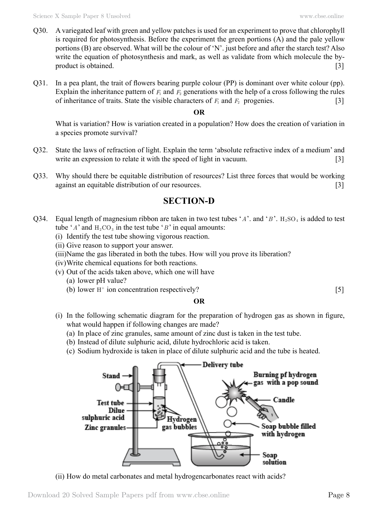- Q30. A variegated leaf with green and yellow patches is used for an experiment to prove that chlorophyll is required for photosynthesis. Before the experiment the green portions (A) and the pale yellow portions (B) are observed. What will be the colour of 'N'. just before and after the starch test? Also write the equation of photosynthesis and mark, as well as validate from which molecule the byproduct is obtained. [3]
- Q31. In a pea plant, the trait of flowers bearing purple colour (PP) is dominant over white colour (pp). Explain the inheritance pattern of  $F_1$  and  $F_2$  generations with the help of a cross following the rules of inheritance of traits. State the visible characters of  $F_1$  and  $F_2$  progenies. [3]

## **O**

What is variation? How is variation created in a population? How does the creation of variation in a species promote survival?

- Q32. State the laws of refraction of light. Explain the term 'absolute refractive index of a medium' and write an expression to relate it with the speed of light in vacuum. [3]
- Q33. Why should there be equitable distribution of resources? List three forces that would be working against an equitable distribution of our resources. [3]

# **SECTION-D**

- Q34. Equal length of magnesium ribbon are taken in two test tubes ' $A$ '. and ' $B$ '. H<sub>2</sub>SO<sub>4</sub> is added to test tube ' $A$ ' and  $H_2CO_3$  in the test tube ' $B$ ' in equal amounts:
	- (i) Identify the test tube showing vigorous reaction.
	- (ii) Give reason to support your answer.
	- (iii)Name the gas liberated in both the tubes. How will you prove its liberation?
	- (iv)Write chemical equations for both reactions.
	- (v) Out of the acids taken above, which one will have
		- (a) lower pH value?
		- (b) lower  $H^+$  ion concentration respectively? [5]

## **O**

- (i) In the following schematic diagram for the preparation of hydrogen gas as shown in figure, what would happen if following changes are made?
	- (a) In place of zinc granules, same amount of zinc dust is taken in the test tube.
	- (b) Instead of dilute sulphuric acid, dilute hydrochloric acid is taken.
	- (c) Sodium hydroxide is taken in place of dilute sulphuric acid and the tube is heated.



(ii) How do metal carbonates and metal hydrogencarbonates react with acids?